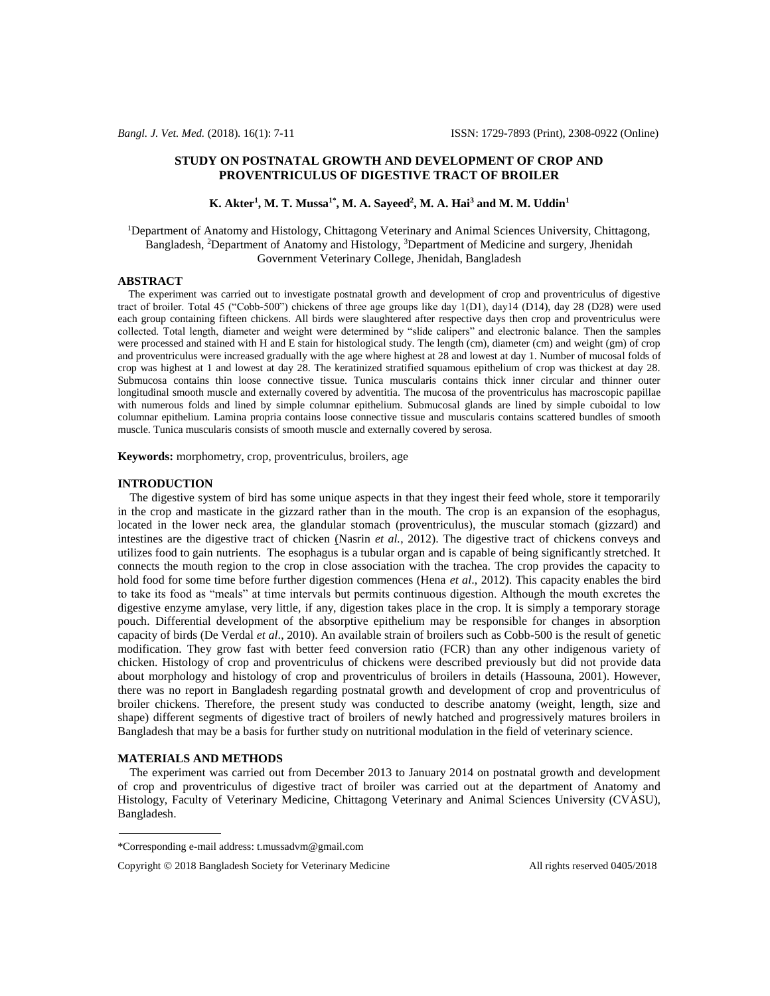# **STUDY ON POSTNATAL GROWTH AND DEVELOPMENT OF CROP AND PROVENTRICULUS OF DIGESTIVE TRACT OF BROILER**

**K. Akter<sup>1</sup> , M. T. Mussa1\*, M. A. Sayeed<sup>2</sup> , M. A. Hai<sup>3</sup> and M. M. Uddin<sup>1</sup>**

<sup>1</sup>Department of Anatomy and Histology, Chittagong Veterinary and Animal Sciences University, Chittagong, Bangladesh, <sup>2</sup>Department of Anatomy and Histology, <sup>3</sup>Department of Medicine and surgery, Jhenidah Government Veterinary College, Jhenidah, Bangladesh

## **ABSTRACT**

 The experiment was carried out to investigate postnatal growth and development of crop and proventriculus of digestive tract of broiler. Total 45 ("Cobb-500") chickens of three age groups like day 1(D1), day14 (D14), day 28 (D28) were used each group containing fifteen chickens. All birds were slaughtered after respective days then crop and proventriculus were collected. Total length, diameter and weight were determined by "slide calipers" and electronic balance. Then the samples were processed and stained with H and E stain for histological study. The length (cm), diameter (cm) and weight (gm) of crop and proventriculus were increased gradually with the age where highest at 28 and lowest at day 1. Number of mucosal folds of crop was highest at 1 and lowest at day 28. The keratinized stratified squamous epithelium of crop was thickest at day 28. Submucosa contains thin loose connective tissue. Tunica muscularis contains thick inner circular and thinner outer longitudinal smooth muscle and externally covered by adventitia. The mucosa of the proventriculus has macroscopic papillae with numerous folds and lined by simple columnar epithelium. Submucosal glands are lined by simple cuboidal to low columnar epithelium. Lamina propria contains loose connective tissue and muscularis contains scattered bundles of smooth muscle. Tunica muscularis consists of smooth muscle and externally covered by serosa.

**Keywords:** morphometry, crop, proventriculus, broilers, age

# **INTRODUCTION**

 The digestive system of bird has some unique aspects in that they ingest their feed whole, store it temporarily in the crop and masticate in the gizzard rather than in the mouth. The crop is an expansion of the esophagus, located in the lower neck area, the glandular stomach (proventriculus), the muscular stomach (gizzard) and intestines are the digestive tract of chicken (Nasrin *et al.*, 2012). The digestive tract of chickens conveys and utilizes food to gain nutrients. The esophagus is a tubular organ and is capable of being significantly stretched. It connects the mouth region to the crop in close association with the trachea. The crop provides the capacity to hold food for some time before further digestion commences (Hena *et al*., 2012). This capacity enables the bird to take its food as "meals" at time intervals but permits continuous digestion. Although the mouth excretes the digestive enzyme amylase, very little, if any, digestion takes place in the crop. It is simply a temporary storage pouch. Differential development of the absorptive epithelium may be responsible for changes in absorption capacity of birds (De Verdal *et al*., 2010). An available strain of broilers such as Cobb-500 is the result of genetic modification. They grow fast with better feed conversion ratio (FCR) than any other indigenous variety of chicken. Histology of crop and proventriculus of chickens were described previously but did not provide data about morphology and histology of crop and proventriculus of broilers in details (Hassouna, 2001). However, there was no report in Bangladesh regarding postnatal growth and development of crop and proventriculus of broiler chickens. Therefore, the present study was conducted to describe anatomy (weight, length, size and shape) different segments of digestive tract of broilers of newly hatched and progressively matures broilers in Bangladesh that may be a basis for further study on nutritional modulation in the field of veterinary science.

### **MATERIALS AND METHODS**

 The experiment was carried out from December 2013 to January 2014 on postnatal growth and development of crop and proventriculus of digestive tract of broiler was carried out at the department of Anatomy and Histology, Faculty of Veterinary Medicine, Chittagong Veterinary and Animal Sciences University (CVASU), Bangladesh.

<sup>\*</sup>Corresponding e-mail address: t.mussadvm@gmail.com

Copyright  $\oslash$  2018 Bangladesh Society for Veterinary Medicine All rights reserved 0405/2018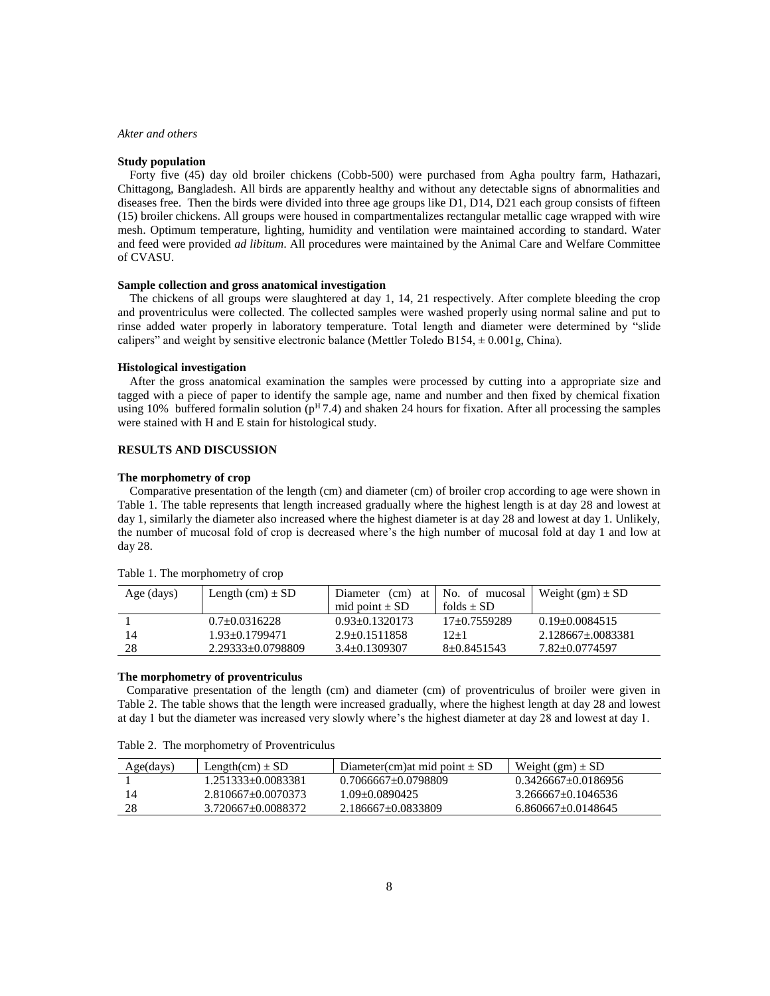## *Akter and others*

#### **Study population**

 Forty five (45) day old broiler chickens (Cobb-500) were purchased from Agha poultry farm, Hathazari, Chittagong, Bangladesh. All birds are apparently healthy and without any detectable signs of abnormalities and diseases free. Then the birds were divided into three age groups like D1, D14, D21 each group consists of fifteen (15) broiler chickens. All groups were housed in compartmentalizes rectangular metallic cage wrapped with wire mesh. Optimum temperature, lighting, humidity and ventilation were maintained according to standard. Water and feed were provided *ad libitum*. All procedures were maintained by the Animal Care and Welfare Committee of CVASU.

### **Sample collection and gross anatomical investigation**

 The chickens of all groups were slaughtered at day 1, 14, 21 respectively. After complete bleeding the crop and proventriculus were collected. The collected samples were washed properly using normal saline and put to rinse added water properly in laboratory temperature. Total length and diameter were determined by "slide calipers" and weight by sensitive electronic balance (Mettler Toledo B154,  $\pm$  0.001g, China).

#### **Histological investigation**

 After the gross anatomical examination the samples were processed by cutting into a appropriate size and tagged with a piece of paper to identify the sample age, name and number and then fixed by chemical fixation using 10% buffered formalin solution ( $p<sup>H</sup>7.4$ ) and shaken 24 hours for fixation. After all processing the samples were stained with H and E stain for histological study.

# **RESULTS AND DISCUSSION**

#### **The morphometry of crop**

 Comparative presentation of the length (cm) and diameter (cm) of broiler crop according to age were shown in Table 1. The table represents that length increased gradually where the highest length is at day 28 and lowest at day 1, similarly the diameter also increased where the highest diameter is at day 28 and lowest at day 1. Unlikely, the number of mucosal fold of crop is decreased where's the high number of mucosal fold at day 1 and low at day 28.

| Age (days) | Length $(cm) \pm SD$ | (cm)<br>Diameter<br>mid point $\pm$ SD | at No. of mucosal<br>folds $\pm$ SD | Weight $(gm) \pm SD$ |
|------------|----------------------|----------------------------------------|-------------------------------------|----------------------|
|            | $0.7+0.0316228$      | $0.93 + 0.1320173$                     | $17+0.7559289$                      | $0.19+0.0084515$     |
| 14         | $1.93 + 0.1799471$   | $2.9+0.1511858$                        | $12+1$                              | $2.128667 + 0083381$ |
| 28         | $2.29333+0.0798809$  | $3.4 + 0.1309307$                      | 8+0.8451543                         | 7.82+0.0774597       |

Table 1. The morphometry of crop

#### **The morphometry of proventriculus**

 Comparative presentation of the length (cm) and diameter (cm) of proventriculus of broiler were given in Table 2. The table shows that the length were increased gradually, where the highest length at day 28 and lowest at day 1 but the diameter was increased very slowly where's the highest diameter at day 28 and lowest at day 1.

| Table 2. The morphometry of Proventriculus |
|--------------------------------------------|
|                                            |

| Age(days) | Length $(cm) \pm SD$ | Diameter(cm) at mid point $\pm$ SD | Weight $(gm) \pm SD$  |
|-----------|----------------------|------------------------------------|-----------------------|
|           | 1.251333+0.0083381   | $0.7066667 + 0.0798809$            | $0.3426667+0.0186956$ |
| 14        | 2.810667+0.0070373   | 1.09+0.0890425                     | 3.266667+0.1046536    |
| 28        | 3.720667+0.0088372   | $2.186667+0.0833809$               | $6.860667+0.0148645$  |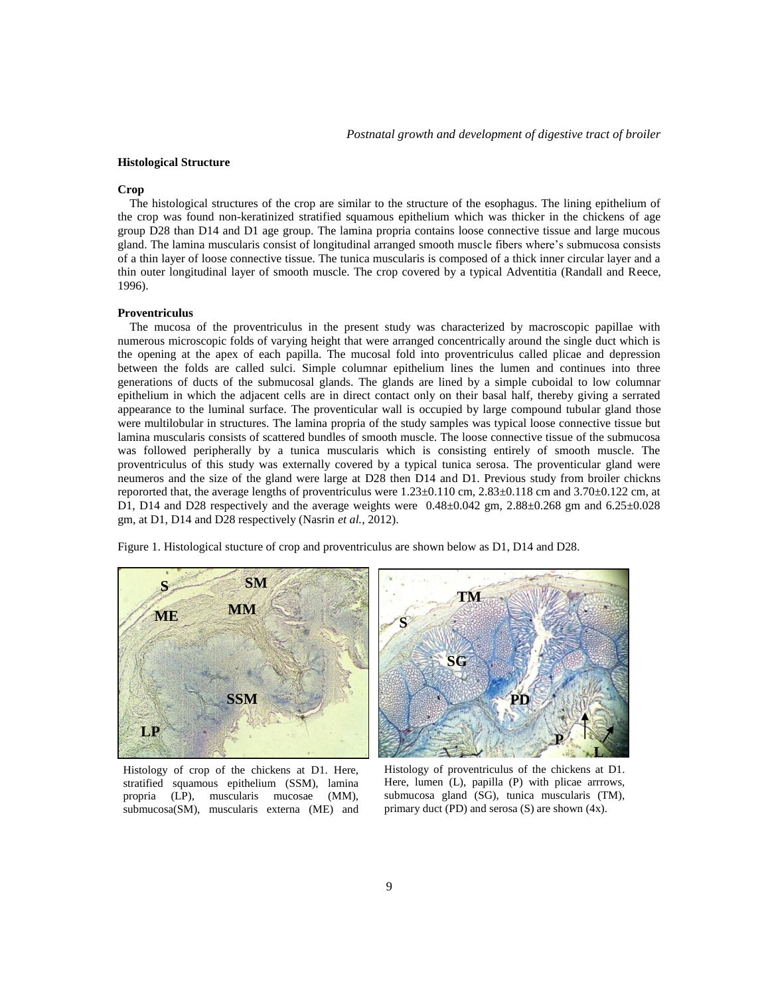## **Histological Structure**

#### **Crop**

 The histological structures of the crop are similar to the structure of the esophagus. The lining epithelium of the crop was found non-keratinized stratified squamous epithelium which was thicker in the chickens of age group D28 than D14 and D1 age group. The lamina propria contains loose connective tissue and large mucous gland. The lamina muscularis consist of longitudinal arranged smooth muscle fibers where's submucosa consists of a thin layer of loose connective tissue. The tunica muscularis is composed of a thick inner circular layer and a thin outer longitudinal layer of smooth muscle. The crop covered by a typical Adventitia (Randall and Reece, 1996).

# **Proventriculus**

 The mucosa of the proventriculus in the present study was characterized by macroscopic papillae with numerous microscopic folds of varying height that were arranged concentrically around the single duct which is the opening at the apex of each papilla. The mucosal fold into proventriculus called plicae and depression between the folds are called sulci. Simple columnar epithelium lines the lumen and continues into three generations of ducts of the submucosal glands. The glands are lined by a simple cuboidal to low columnar epithelium in which the adjacent cells are in direct contact only on their basal half, thereby giving a serrated appearance to the luminal surface. The proventicular wall is occupied by large compound tubular gland those were multilobular in structures. The lamina propria of the study samples was typical loose connective tissue but lamina muscularis consists of scattered bundles of smooth muscle. The loose connective tissue of the submucosa was followed peripherally by a tunica muscularis which is consisting entirely of smooth muscle. The proventriculus of this study was externally covered by a typical tunica serosa. The proventicular gland were neumeros and the size of the gland were large at D28 then D14 and D1. Previous study from broiler chickns repororted that, the average lengths of proventriculus were  $1.23 \pm 0.110$  cm,  $2.83 \pm 0.118$  cm and  $3.70 \pm 0.122$  cm, at D1, D14 and D28 respectively and the average weights were  $0.48\pm0.042$  gm,  $2.88\pm0.268$  gm and  $6.25\pm0.028$ gm, at D1, D14 and D28 respectively (Nasrin *et al.*, 2012).

Figure 1. Histological stucture of crop and proventriculus are shown below as D1, D14 and D28.



Histology of crop of the chickens at D1. Here, stratified squamous epithelium (SSM), lamina propria (LP), muscularis mucosae (MM), submucosa(SM), muscularis externa (ME) and



Histology of proventriculus of the chickens at D1. Here, lumen (L), papilla (P) with plicae arrrows, submucosa gland (SG), tunica muscularis (TM), primary duct (PD) and serosa (S) are shown (4x).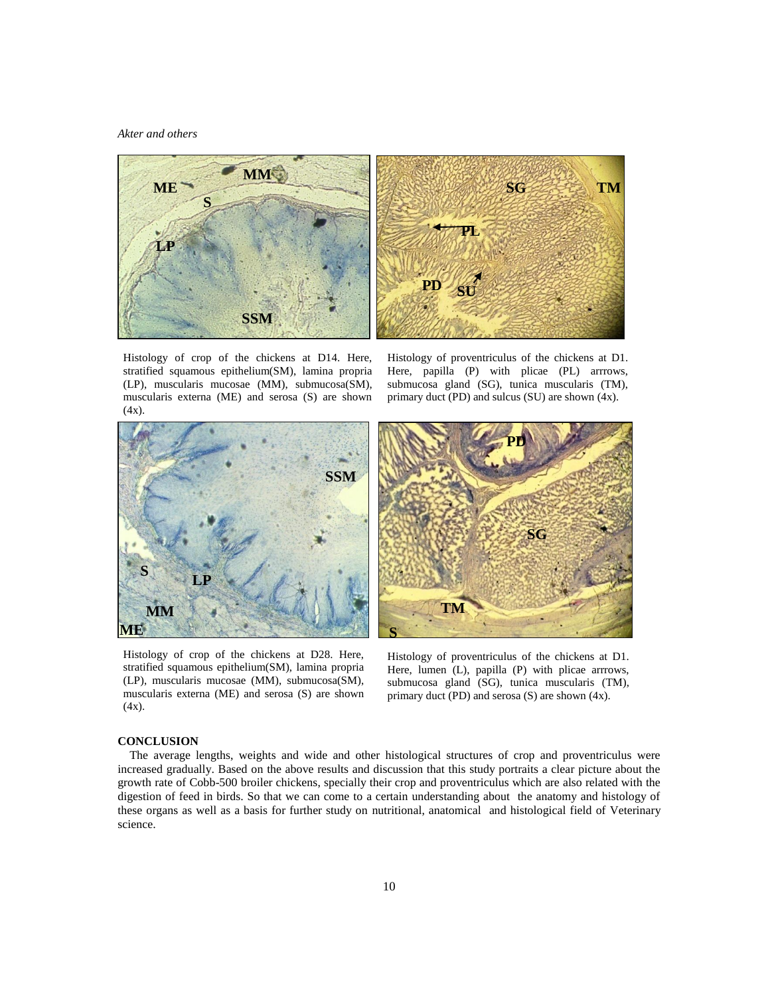### *Akter and others*



Histology of crop of the chickens at D14. Here, stratified squamous epithelium(SM), lamina propria (LP), muscularis mucosae (MM), submucosa(SM), muscularis externa (ME) and serosa (S) are shown  $(4x)$ .

Histology of proventriculus of the chickens at D1. Here, papilla (P) with plicae (PL) arrrows, submucosa gland (SG), tunica muscularis (TM), primary duct (PD) and sulcus (SU) are shown (4x).



Histology of crop of the chickens at D28. Here, stratified squamous epithelium(SM), lamina propria (LP), muscularis mucosae (MM), submucosa(SM), muscularis externa (ME) and serosa (S) are shown (4x).



Histology of proventriculus of the chickens at D1. Here, lumen (L), papilla (P) with plicae arrrows, submucosa gland (SG), tunica muscularis (TM), primary duct (PD) and serosa (S) are shown (4x).

# **CONCLUSION**

 The average lengths, weights and wide and other histological structures of crop and proventriculus were increased gradually. Based on the above results and discussion that this study portraits a clear picture about the growth rate of Cobb-500 broiler chickens, specially their crop and proventriculus which are also related with the digestion of feed in birds. So that we can come to a certain understanding about the anatomy and histology of these organs as well as a basis for further study on nutritional, anatomical and histological field of Veterinary science.